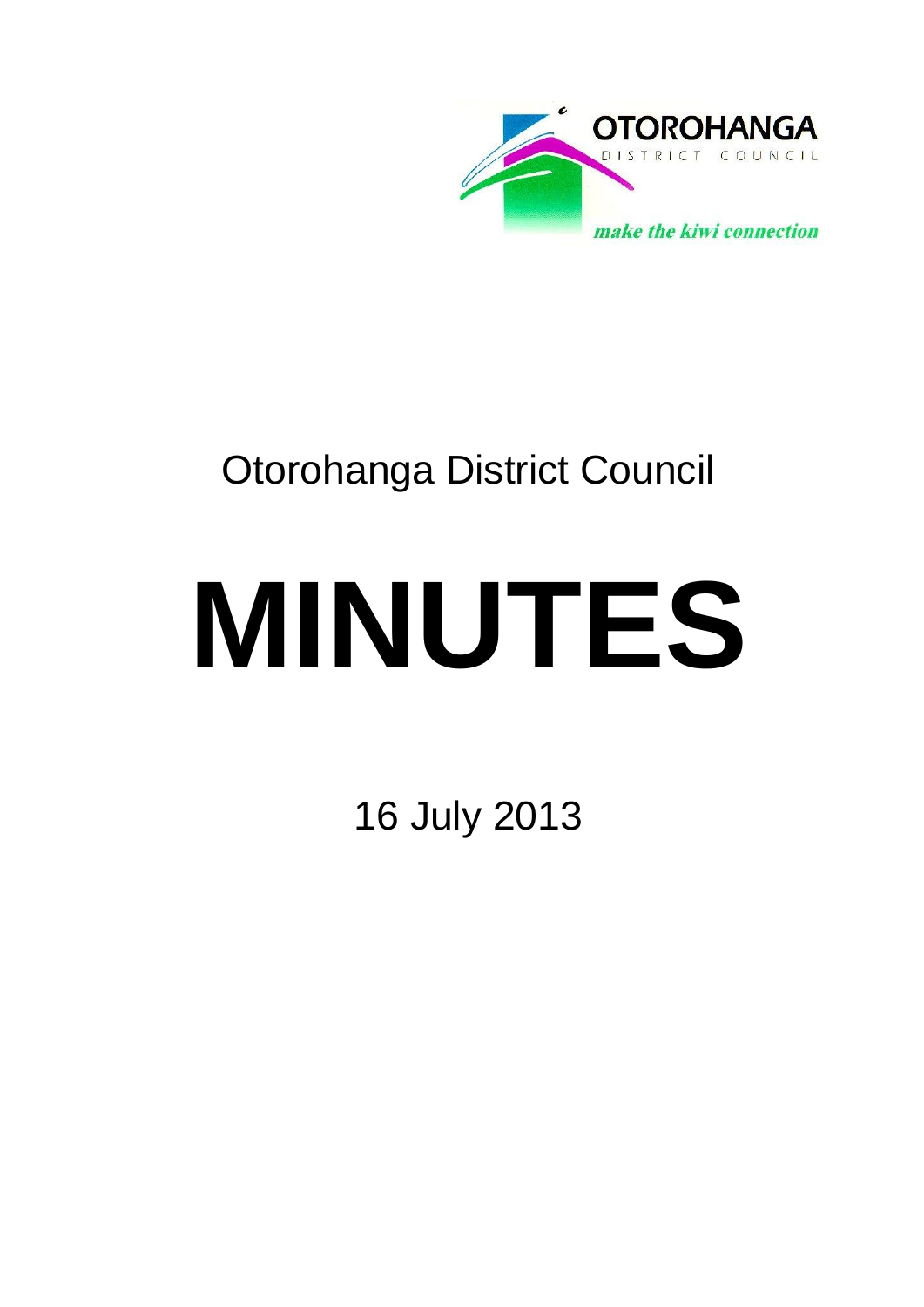

# Otorohanga District Council

# **MINUTES**

16 July 2013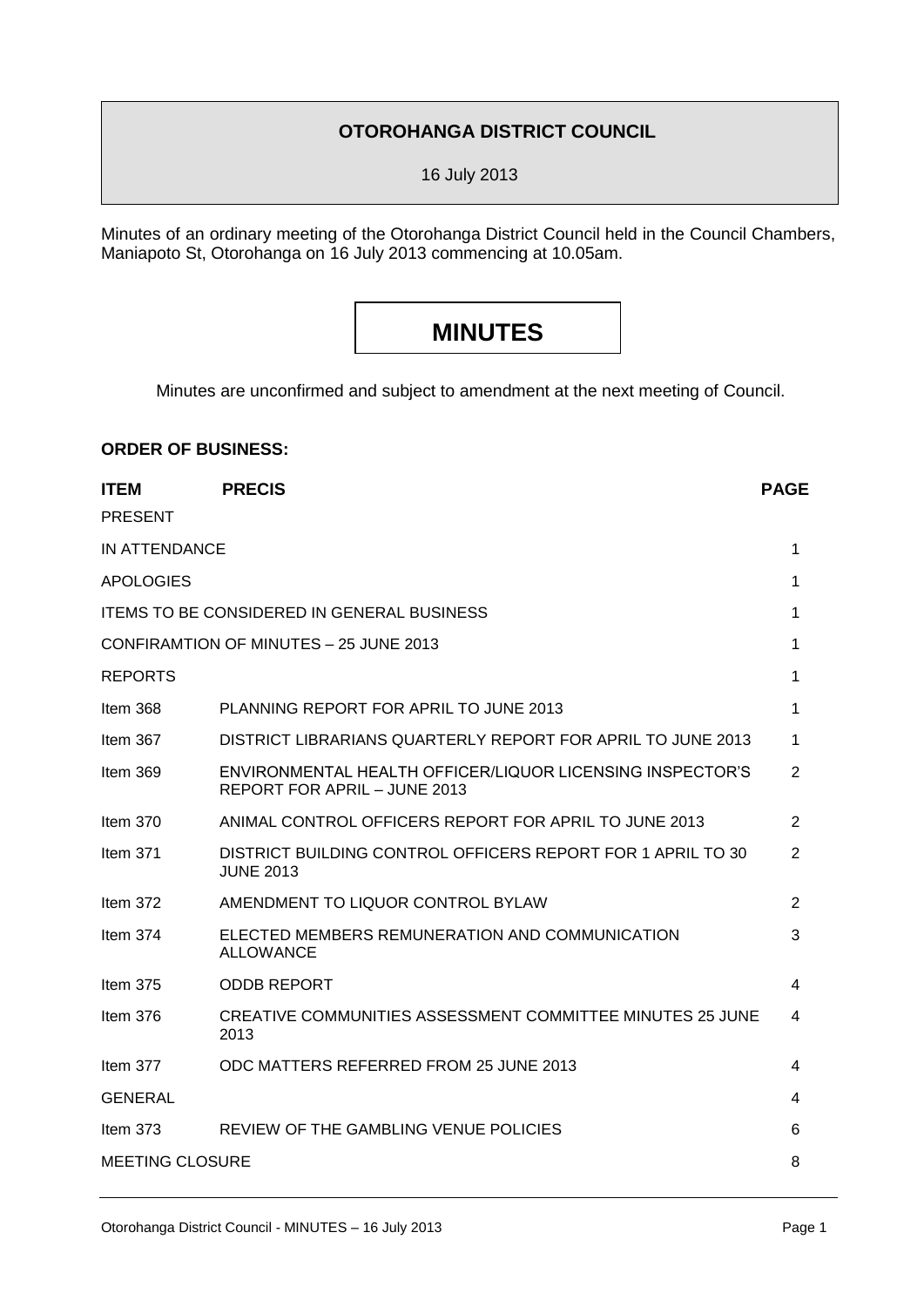### **OTOROHANGA DISTRICT COUNCIL**

16 July 2013

Minutes of an ordinary meeting of the Otorohanga District Council held in the Council Chambers, Maniapoto St, Otorohanga on 16 July 2013 commencing at 10.05am.

# **MINUTES**

Minutes are unconfirmed and subject to amendment at the next meeting of Council.

## **ITEM PRECIS PAGE** PRESENT IN ATTENDANCE **1** APOLOGIES 2008 12 APOLOGIES 2008 12 APOLOGIES 2008 12 APOLOGIES 2008 12 APOLOGIES 2008 12 APOLOGIES ITEMS TO BE CONSIDERED IN GENERAL BUSINESS 1 CONFIRAMTION OF MINUTES – 25 JUNE 2013 1 REPORTS 1 Item 368 PLANNING REPORT FOR APRIL TO JUNE 2013 Item 367 DISTRICT LIBRARIANS QUARTERLY REPORT FOR APRIL TO JUNE 2013 1 Item 369 ENVIRONMENTAL HEALTH OFFICER/LIQUOR LICENSING INSPECTOR'S REPORT FOR APRIL – JUNE 2013 2 Item 370 ANIMAL CONTROL OFFICERS REPORT FOR APRIL TO JUNE 2013 2 Item 371 DISTRICT BUILDING CONTROL OFFICERS REPORT FOR 1 APRIL TO 30 JUNE 2013 2 Item 372 AMENDMENT TO LIQUOR CONTROL BYLAW 2 Item 374 ELECTED MEMBERS REMUNERATION AND COMMUNICATION ALLOWANCE 3 Item 375 ODDB REPORT 4 Item 376 CREATIVE COMMUNITIES ASSESSMENT COMMITTEE MINUTES 25 JUNE 2013 4 Item 377 ODC MATTERS REFERRED FROM 25 JUNE 2013 4 GENERAL 4 Item 373 REVIEW OF THE GAMBLING VENUE POLICIES 6 MEETING CLOSURE 8

**ORDER OF BUSINESS:**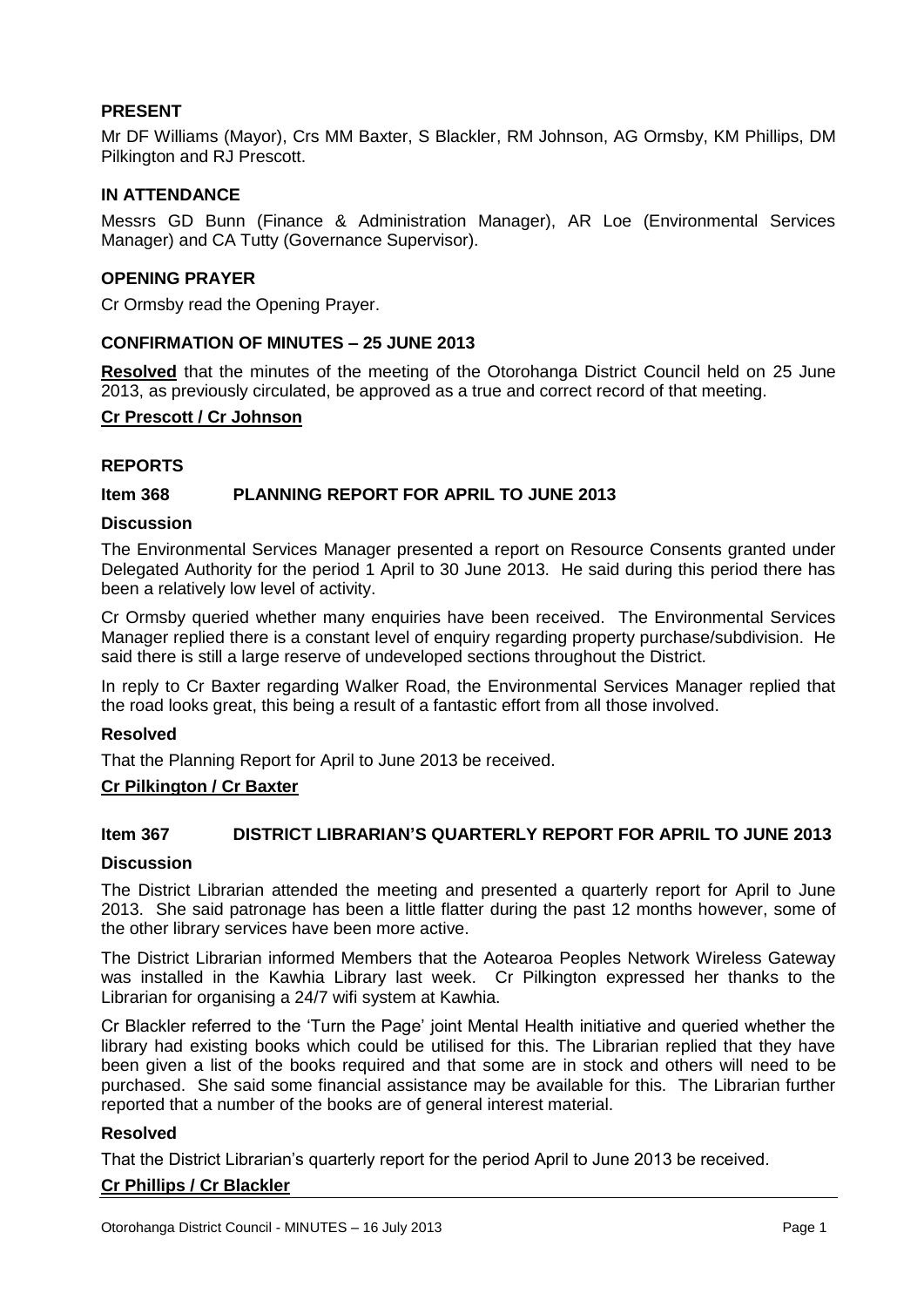#### **PRESENT**

Mr DF Williams (Mayor), Crs MM Baxter, S Blackler, RM Johnson, AG Ormsby, KM Phillips, DM Pilkington and RJ Prescott.

#### **IN ATTENDANCE**

Messrs GD Bunn (Finance & Administration Manager), AR Loe (Environmental Services Manager) and CA Tutty (Governance Supervisor).

#### **OPENING PRAYER**

Cr Ormsby read the Opening Prayer.

#### **CONFIRMATION OF MINUTES – 25 JUNE 2013**

**Resolved** that the minutes of the meeting of the Otorohanga District Council held on 25 June 2013, as previously circulated, be approved as a true and correct record of that meeting.

#### **Cr Prescott / Cr Johnson**

#### **REPORTS**

#### **Item 368 PLANNING REPORT FOR APRIL TO JUNE 2013**

#### **Discussion**

The Environmental Services Manager presented a report on Resource Consents granted under Delegated Authority for the period 1 April to 30 June 2013. He said during this period there has been a relatively low level of activity.

Cr Ormsby queried whether many enquiries have been received. The Environmental Services Manager replied there is a constant level of enquiry regarding property purchase/subdivision. He said there is still a large reserve of undeveloped sections throughout the District.

In reply to Cr Baxter regarding Walker Road, the Environmental Services Manager replied that the road looks great, this being a result of a fantastic effort from all those involved.

#### **Resolved**

That the Planning Report for April to June 2013 be received.

#### **Cr Pilkington / Cr Baxter**

#### **Item 367 DISTRICT LIBRARIAN'S QUARTERLY REPORT FOR APRIL TO JUNE 2013**

#### **Discussion**

The District Librarian attended the meeting and presented a quarterly report for April to June 2013. She said patronage has been a little flatter during the past 12 months however, some of the other library services have been more active.

The District Librarian informed Members that the Aotearoa Peoples Network Wireless Gateway was installed in the Kawhia Library last week. Cr Pilkington expressed her thanks to the Librarian for organising a 24/7 wifi system at Kawhia.

Cr Blackler referred to the 'Turn the Page' joint Mental Health initiative and queried whether the library had existing books which could be utilised for this. The Librarian replied that they have been given a list of the books required and that some are in stock and others will need to be purchased. She said some financial assistance may be available for this. The Librarian further reported that a number of the books are of general interest material.

#### **Resolved**

That the District Librarian's quarterly report for the period April to June 2013 be received.

#### **Cr Phillips / Cr Blackler**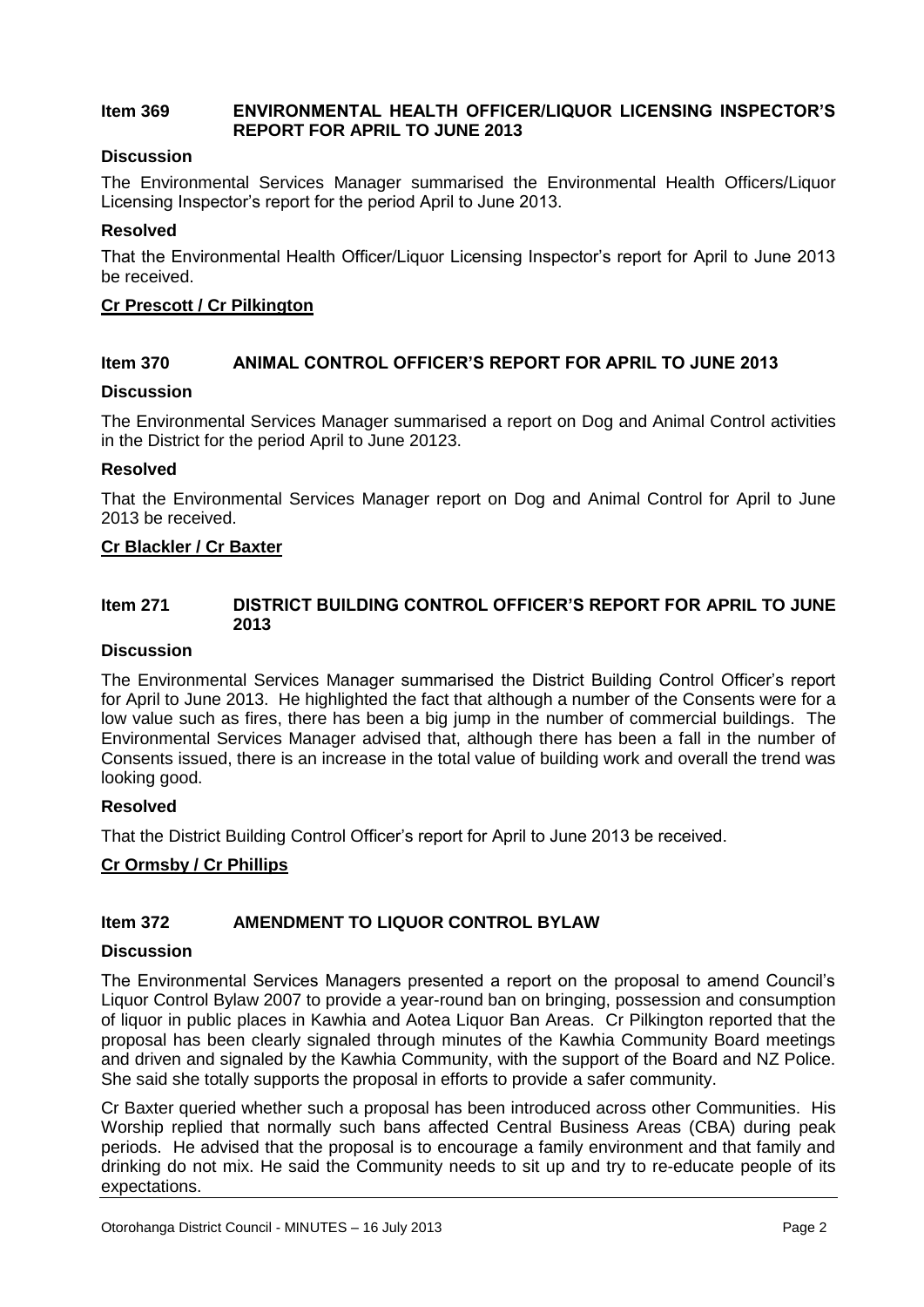#### **Item 369 ENVIRONMENTAL HEALTH OFFICER/LIQUOR LICENSING INSPECTOR'S REPORT FOR APRIL TO JUNE 2013**

#### **Discussion**

The Environmental Services Manager summarised the Environmental Health Officers/Liquor Licensing Inspector's report for the period April to June 2013.

#### **Resolved**

That the Environmental Health Officer/Liquor Licensing Inspector's report for April to June 2013 be received.

#### **Cr Prescott / Cr Pilkington**

#### **Item 370 ANIMAL CONTROL OFFICER'S REPORT FOR APRIL TO JUNE 2013**

#### **Discussion**

The Environmental Services Manager summarised a report on Dog and Animal Control activities in the District for the period April to June 20123.

#### **Resolved**

That the Environmental Services Manager report on Dog and Animal Control for April to June 2013 be received.

#### **Cr Blackler / Cr Baxter**

#### **Item 271 DISTRICT BUILDING CONTROL OFFICER'S REPORT FOR APRIL TO JUNE 2013**

#### **Discussion**

The Environmental Services Manager summarised the District Building Control Officer's report for April to June 2013. He highlighted the fact that although a number of the Consents were for a low value such as fires, there has been a big jump in the number of commercial buildings. The Environmental Services Manager advised that, although there has been a fall in the number of Consents issued, there is an increase in the total value of building work and overall the trend was looking good.

#### **Resolved**

That the District Building Control Officer's report for April to June 2013 be received.

#### **Cr Ormsby / Cr Phillips**

#### **Item 372 AMENDMENT TO LIQUOR CONTROL BYLAW**

#### **Discussion**

The Environmental Services Managers presented a report on the proposal to amend Council's Liquor Control Bylaw 2007 to provide a year-round ban on bringing, possession and consumption of liquor in public places in Kawhia and Aotea Liquor Ban Areas. Cr Pilkington reported that the proposal has been clearly signaled through minutes of the Kawhia Community Board meetings and driven and signaled by the Kawhia Community, with the support of the Board and NZ Police. She said she totally supports the proposal in efforts to provide a safer community.

Cr Baxter queried whether such a proposal has been introduced across other Communities. His Worship replied that normally such bans affected Central Business Areas (CBA) during peak periods. He advised that the proposal is to encourage a family environment and that family and drinking do not mix. He said the Community needs to sit up and try to re-educate people of its expectations.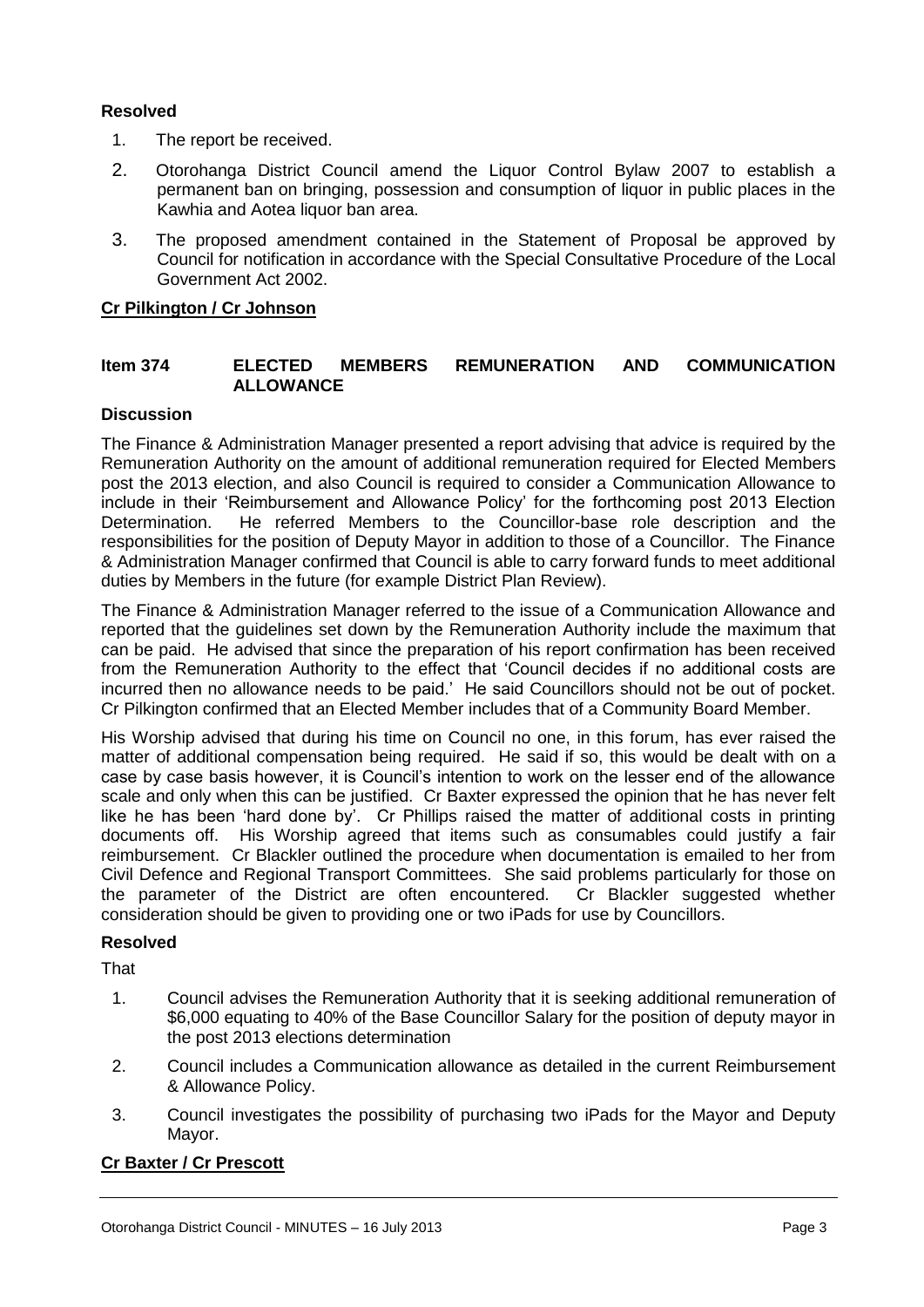#### **Resolved**

- 1. The report be received.
- 2. Otorohanga District Council amend the Liquor Control Bylaw 2007 to establish a permanent ban on bringing, possession and consumption of liquor in public places in the Kawhia and Aotea liquor ban area.
- 3. The proposed amendment contained in the Statement of Proposal be approved by Council for notification in accordance with the Special Consultative Procedure of the Local Government Act 2002.

#### **Cr Pilkington / Cr Johnson**

#### **Item 374 ELECTED MEMBERS REMUNERATION AND COMMUNICATION ALLOWANCE**

#### **Discussion**

The Finance & Administration Manager presented a report advising that advice is required by the Remuneration Authority on the amount of additional remuneration required for Elected Members post the 2013 election, and also Council is required to consider a Communication Allowance to include in their 'Reimbursement and Allowance Policy' for the forthcoming post 2013 Election Determination. He referred Members to the Councillor-base role description and the responsibilities for the position of Deputy Mayor in addition to those of a Councillor. The Finance & Administration Manager confirmed that Council is able to carry forward funds to meet additional duties by Members in the future (for example District Plan Review).

The Finance & Administration Manager referred to the issue of a Communication Allowance and reported that the guidelines set down by the Remuneration Authority include the maximum that can be paid. He advised that since the preparation of his report confirmation has been received from the Remuneration Authority to the effect that 'Council decides if no additional costs are incurred then no allowance needs to be paid.' He said Councillors should not be out of pocket. Cr Pilkington confirmed that an Elected Member includes that of a Community Board Member.

His Worship advised that during his time on Council no one, in this forum, has ever raised the matter of additional compensation being required. He said if so, this would be dealt with on a case by case basis however, it is Council's intention to work on the lesser end of the allowance scale and only when this can be justified. Cr Baxter expressed the opinion that he has never felt like he has been 'hard done by'. Cr Phillips raised the matter of additional costs in printing documents off. His Worship agreed that items such as consumables could justify a fair reimbursement. Cr Blackler outlined the procedure when documentation is emailed to her from Civil Defence and Regional Transport Committees. She said problems particularly for those on the parameter of the District are often encountered. Cr Blackler suggested whether consideration should be given to providing one or two iPads for use by Councillors.

#### **Resolved**

That

- 1. Council advises the Remuneration Authority that it is seeking additional remuneration of \$6,000 equating to 40% of the Base Councillor Salary for the position of deputy mayor in the post 2013 elections determination
- 2. Council includes a Communication allowance as detailed in the current Reimbursement & Allowance Policy.
- 3. Council investigates the possibility of purchasing two iPads for the Mayor and Deputy Mayor.

#### **Cr Baxter / Cr Prescott**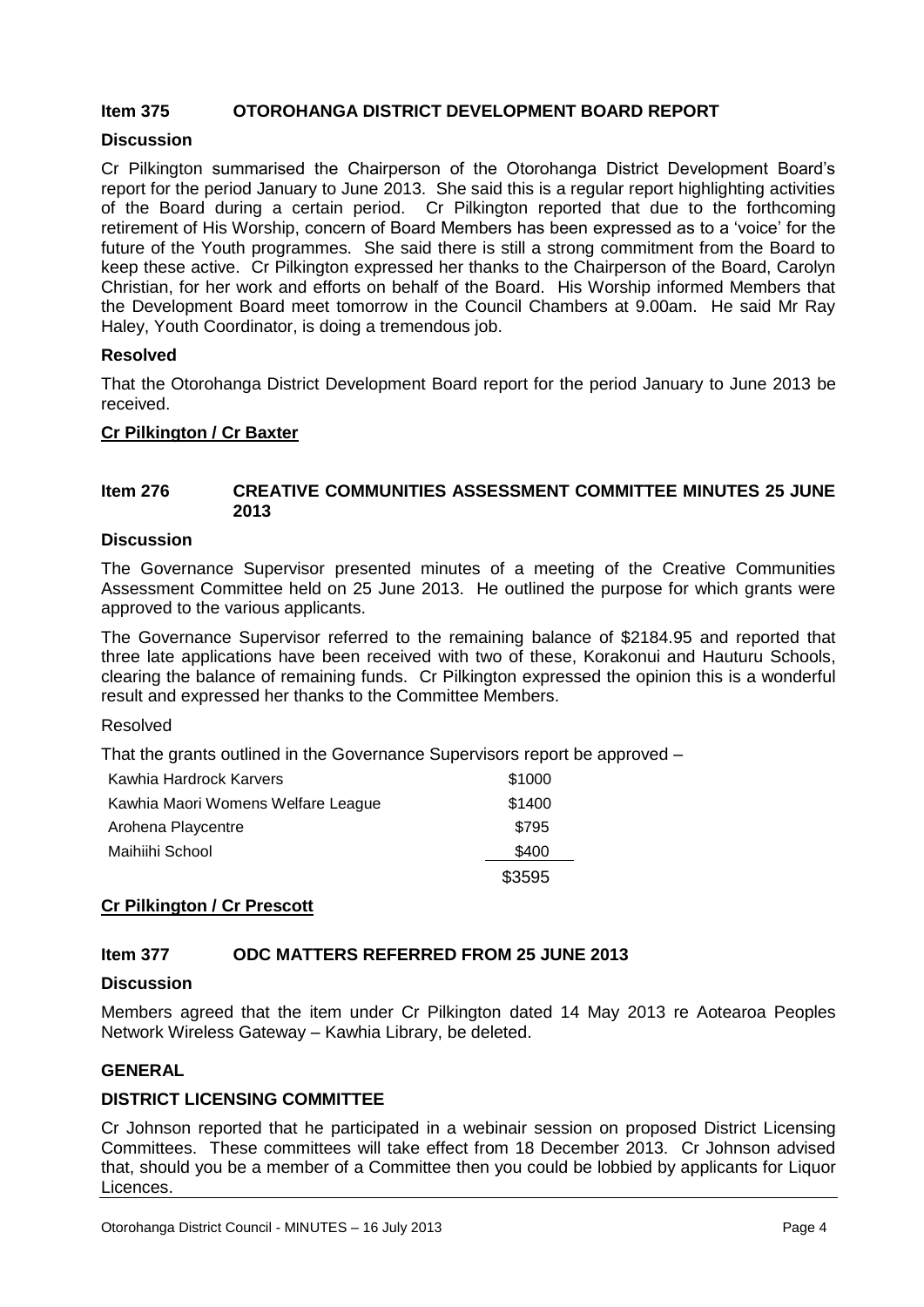#### **Item 375 OTOROHANGA DISTRICT DEVELOPMENT BOARD REPORT**

#### **Discussion**

Cr Pilkington summarised the Chairperson of the Otorohanga District Development Board's report for the period January to June 2013. She said this is a regular report highlighting activities of the Board during a certain period. Cr Pilkington reported that due to the forthcoming retirement of His Worship, concern of Board Members has been expressed as to a 'voice' for the future of the Youth programmes. She said there is still a strong commitment from the Board to keep these active. Cr Pilkington expressed her thanks to the Chairperson of the Board, Carolyn Christian, for her work and efforts on behalf of the Board. His Worship informed Members that the Development Board meet tomorrow in the Council Chambers at 9.00am. He said Mr Ray Haley, Youth Coordinator, is doing a tremendous job.

#### **Resolved**

That the Otorohanga District Development Board report for the period January to June 2013 be received.

#### **Cr Pilkington / Cr Baxter**

#### **Item 276 CREATIVE COMMUNITIES ASSESSMENT COMMITTEE MINUTES 25 JUNE 2013**

#### **Discussion**

The Governance Supervisor presented minutes of a meeting of the Creative Communities Assessment Committee held on 25 June 2013. He outlined the purpose for which grants were approved to the various applicants.

The Governance Supervisor referred to the remaining balance of \$2184.95 and reported that three late applications have been received with two of these, Korakonui and Hauturu Schools, clearing the balance of remaining funds. Cr Pilkington expressed the opinion this is a wonderful result and expressed her thanks to the Committee Members.

#### Resolved

That the grants outlined in the Governance Supervisors report be approved –

| Kawhia Hardrock Karvers            | \$1000 |
|------------------------------------|--------|
| Kawhia Maori Womens Welfare League | \$1400 |
| Arohena Playcentre                 | \$795  |
| Maihiihi School                    | \$400  |
|                                    | \$3595 |

#### **Cr Pilkington / Cr Prescott**

#### **Item 377 ODC MATTERS REFERRED FROM 25 JUNE 2013**

#### **Discussion**

Members agreed that the item under Cr Pilkington dated 14 May 2013 re Aotearoa Peoples Network Wireless Gateway – Kawhia Library, be deleted.

#### **GENERAL**

#### **DISTRICT LICENSING COMMITTEE**

Cr Johnson reported that he participated in a webinair session on proposed District Licensing Committees. These committees will take effect from 18 December 2013. Cr Johnson advised that, should you be a member of a Committee then you could be lobbied by applicants for Liquor Licences.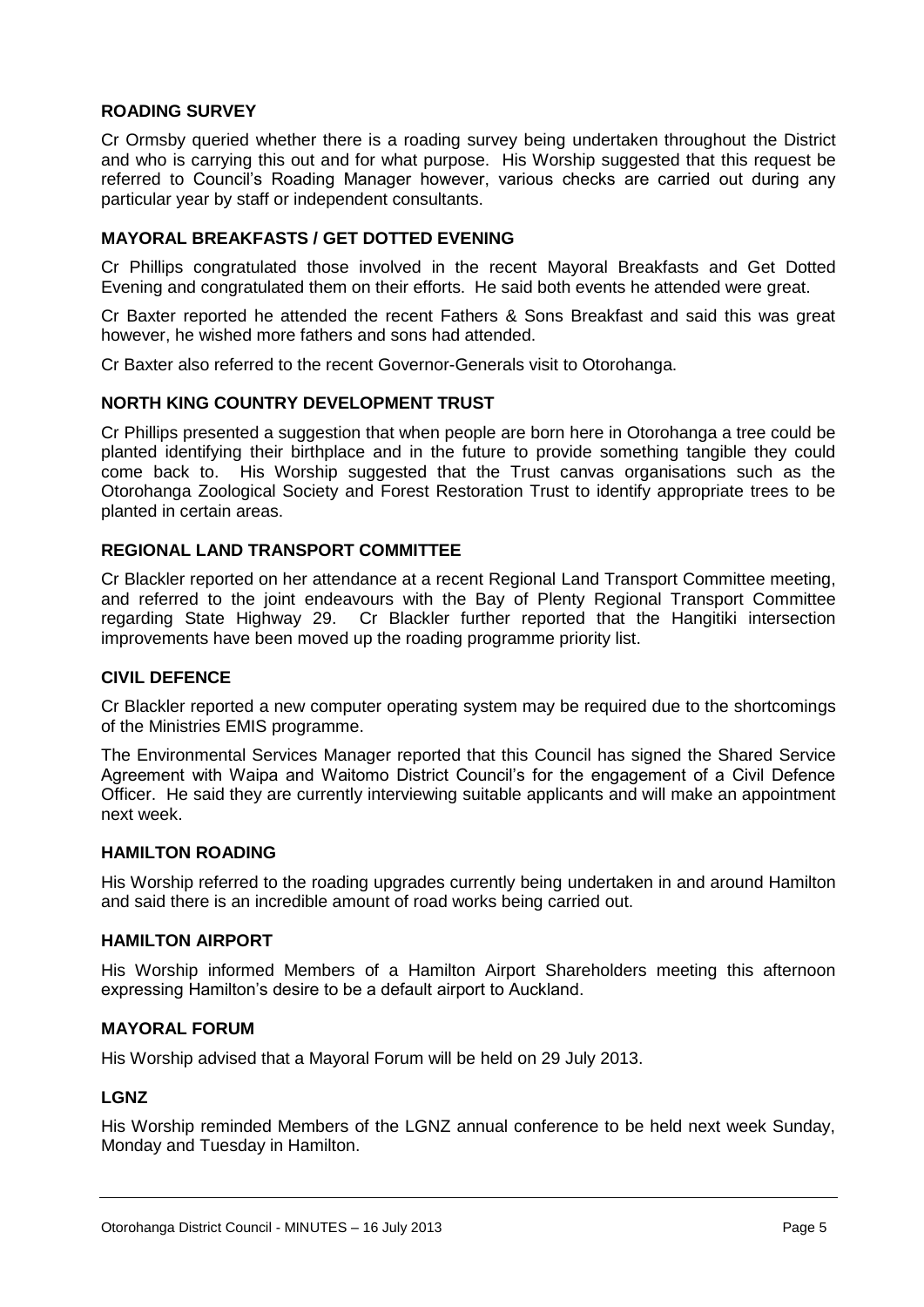#### **ROADING SURVEY**

Cr Ormsby queried whether there is a roading survey being undertaken throughout the District and who is carrying this out and for what purpose. His Worship suggested that this request be referred to Council's Roading Manager however, various checks are carried out during any particular year by staff or independent consultants.

#### **MAYORAL BREAKFASTS / GET DOTTED EVENING**

Cr Phillips congratulated those involved in the recent Mayoral Breakfasts and Get Dotted Evening and congratulated them on their efforts. He said both events he attended were great.

Cr Baxter reported he attended the recent Fathers & Sons Breakfast and said this was great however, he wished more fathers and sons had attended.

Cr Baxter also referred to the recent Governor-Generals visit to Otorohanga.

#### **NORTH KING COUNTRY DEVELOPMENT TRUST**

Cr Phillips presented a suggestion that when people are born here in Otorohanga a tree could be planted identifying their birthplace and in the future to provide something tangible they could come back to. His Worship suggested that the Trust canvas organisations such as the Otorohanga Zoological Society and Forest Restoration Trust to identify appropriate trees to be planted in certain areas.

#### **REGIONAL LAND TRANSPORT COMMITTEE**

Cr Blackler reported on her attendance at a recent Regional Land Transport Committee meeting, and referred to the joint endeavours with the Bay of Plenty Regional Transport Committee regarding State Highway 29. Cr Blackler further reported that the Hangitiki intersection improvements have been moved up the roading programme priority list.

#### **CIVIL DEFENCE**

Cr Blackler reported a new computer operating system may be required due to the shortcomings of the Ministries EMIS programme.

The Environmental Services Manager reported that this Council has signed the Shared Service Agreement with Waipa and Waitomo District Council's for the engagement of a Civil Defence Officer. He said they are currently interviewing suitable applicants and will make an appointment next week.

#### **HAMILTON ROADING**

His Worship referred to the roading upgrades currently being undertaken in and around Hamilton and said there is an incredible amount of road works being carried out.

#### **HAMILTON AIRPORT**

His Worship informed Members of a Hamilton Airport Shareholders meeting this afternoon expressing Hamilton's desire to be a default airport to Auckland.

#### **MAYORAL FORUM**

His Worship advised that a Mayoral Forum will be held on 29 July 2013.

#### **LGNZ**

His Worship reminded Members of the LGNZ annual conference to be held next week Sunday, Monday and Tuesday in Hamilton.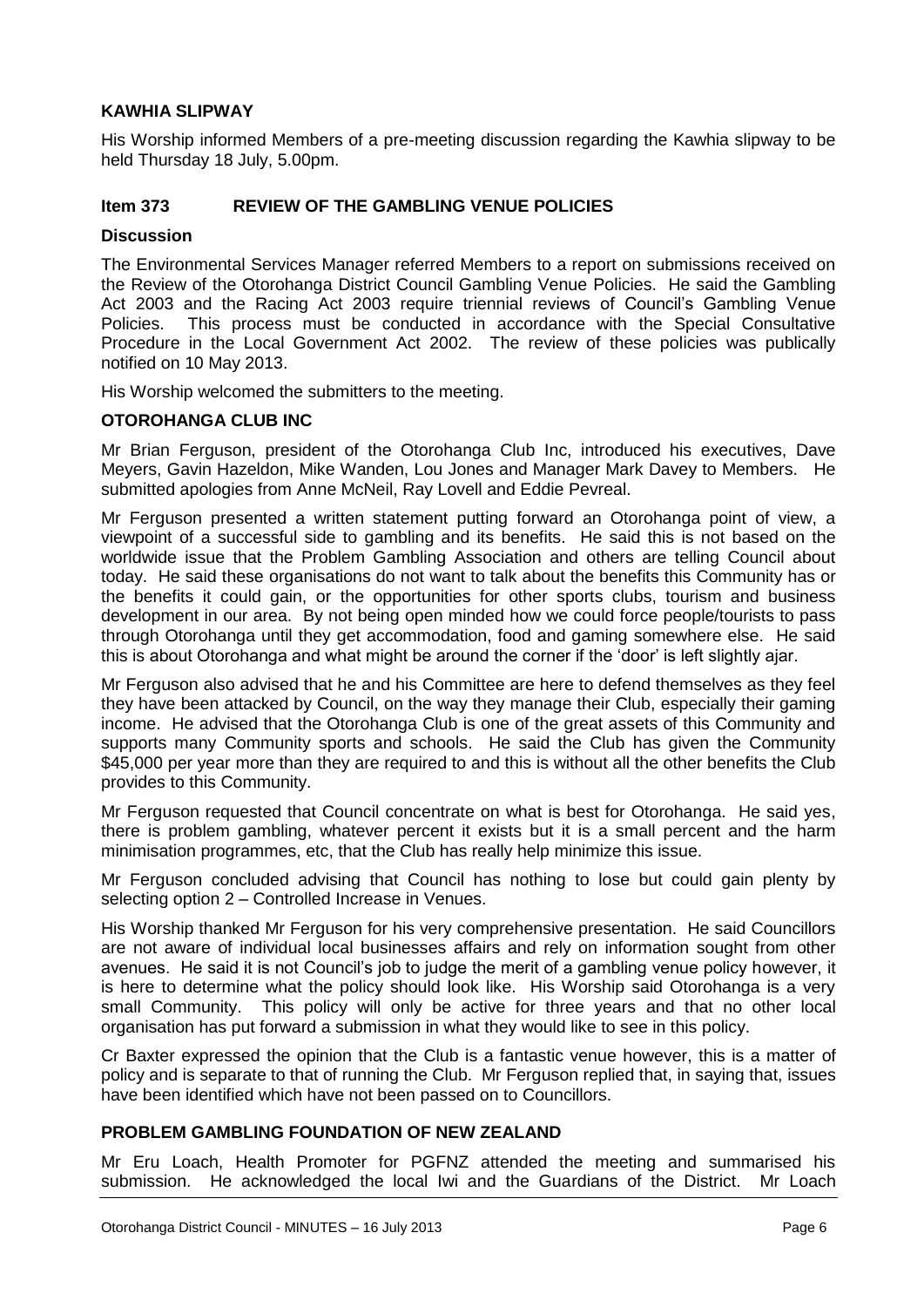#### **KAWHIA SLIPWAY**

His Worship informed Members of a pre-meeting discussion regarding the Kawhia slipway to be held Thursday 18 July, 5.00pm.

#### **Item 373 REVIEW OF THE GAMBLING VENUE POLICIES**

#### **Discussion**

The Environmental Services Manager referred Members to a report on submissions received on the Review of the Otorohanga District Council Gambling Venue Policies. He said the Gambling Act 2003 and the Racing Act 2003 require triennial reviews of Council's Gambling Venue Policies. This process must be conducted in accordance with the Special Consultative Procedure in the Local Government Act 2002. The review of these policies was publically notified on 10 May 2013.

His Worship welcomed the submitters to the meeting.

#### **OTOROHANGA CLUB INC**

Mr Brian Ferguson, president of the Otorohanga Club Inc, introduced his executives, Dave Meyers, Gavin Hazeldon, Mike Wanden, Lou Jones and Manager Mark Davey to Members. He submitted apologies from Anne McNeil, Ray Lovell and Eddie Pevreal.

Mr Ferguson presented a written statement putting forward an Otorohanga point of view, a viewpoint of a successful side to gambling and its benefits. He said this is not based on the worldwide issue that the Problem Gambling Association and others are telling Council about today. He said these organisations do not want to talk about the benefits this Community has or the benefits it could gain, or the opportunities for other sports clubs, tourism and business development in our area. By not being open minded how we could force people/tourists to pass through Otorohanga until they get accommodation, food and gaming somewhere else. He said this is about Otorohanga and what might be around the corner if the 'door' is left slightly ajar.

Mr Ferguson also advised that he and his Committee are here to defend themselves as they feel they have been attacked by Council, on the way they manage their Club, especially their gaming income. He advised that the Otorohanga Club is one of the great assets of this Community and supports many Community sports and schools. He said the Club has given the Community \$45,000 per year more than they are required to and this is without all the other benefits the Club provides to this Community.

Mr Ferguson requested that Council concentrate on what is best for Otorohanga. He said yes, there is problem gambling, whatever percent it exists but it is a small percent and the harm minimisation programmes, etc, that the Club has really help minimize this issue.

Mr Ferguson concluded advising that Council has nothing to lose but could gain plenty by selecting option 2 – Controlled Increase in Venues.

His Worship thanked Mr Ferguson for his very comprehensive presentation. He said Councillors are not aware of individual local businesses affairs and rely on information sought from other avenues. He said it is not Council's job to judge the merit of a gambling venue policy however, it is here to determine what the policy should look like. His Worship said Otorohanga is a very small Community. This policy will only be active for three years and that no other local organisation has put forward a submission in what they would like to see in this policy.

Cr Baxter expressed the opinion that the Club is a fantastic venue however, this is a matter of policy and is separate to that of running the Club. Mr Ferguson replied that, in saying that, issues have been identified which have not been passed on to Councillors.

#### **PROBLEM GAMBLING FOUNDATION OF NEW ZEALAND**

Mr Eru Loach, Health Promoter for PGFNZ attended the meeting and summarised his submission. He acknowledged the local Iwi and the Guardians of the District. Mr Loach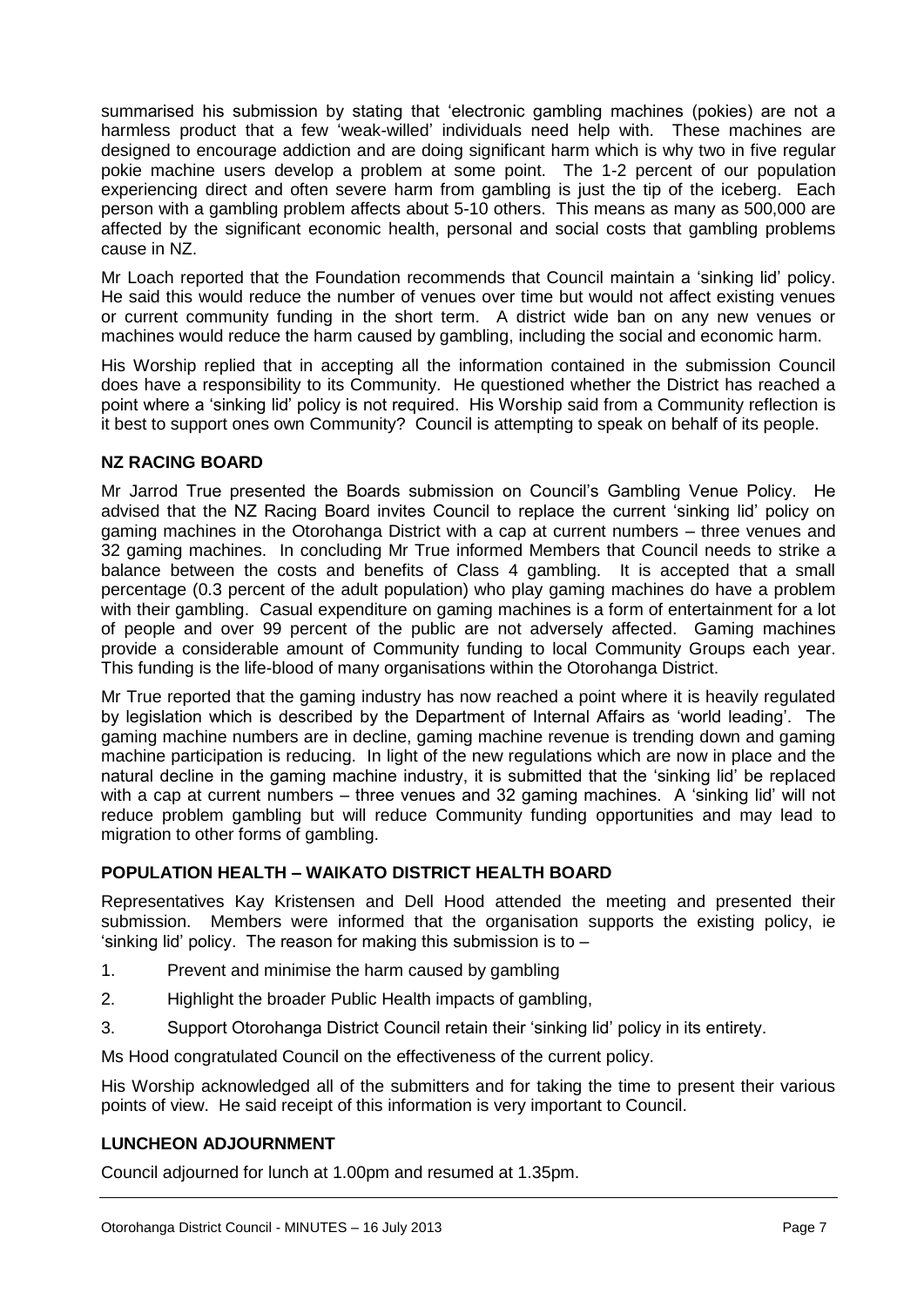summarised his submission by stating that 'electronic gambling machines (pokies) are not a harmless product that a few 'weak-willed' individuals need help with. These machines are designed to encourage addiction and are doing significant harm which is why two in five regular pokie machine users develop a problem at some point. The 1-2 percent of our population experiencing direct and often severe harm from gambling is just the tip of the iceberg. Each person with a gambling problem affects about 5-10 others. This means as many as 500,000 are affected by the significant economic health, personal and social costs that gambling problems cause in NZ.

Mr Loach reported that the Foundation recommends that Council maintain a 'sinking lid' policy. He said this would reduce the number of venues over time but would not affect existing venues or current community funding in the short term. A district wide ban on any new venues or machines would reduce the harm caused by gambling, including the social and economic harm.

His Worship replied that in accepting all the information contained in the submission Council does have a responsibility to its Community. He questioned whether the District has reached a point where a 'sinking lid' policy is not required. His Worship said from a Community reflection is it best to support ones own Community? Council is attempting to speak on behalf of its people.

#### **NZ RACING BOARD**

Mr Jarrod True presented the Boards submission on Council's Gambling Venue Policy. He advised that the NZ Racing Board invites Council to replace the current 'sinking lid' policy on gaming machines in the Otorohanga District with a cap at current numbers – three venues and 32 gaming machines. In concluding Mr True informed Members that Council needs to strike a balance between the costs and benefits of Class 4 gambling. It is accepted that a small percentage (0.3 percent of the adult population) who play gaming machines do have a problem with their gambling. Casual expenditure on gaming machines is a form of entertainment for a lot of people and over 99 percent of the public are not adversely affected. Gaming machines provide a considerable amount of Community funding to local Community Groups each year. This funding is the life-blood of many organisations within the Otorohanga District.

Mr True reported that the gaming industry has now reached a point where it is heavily regulated by legislation which is described by the Department of Internal Affairs as 'world leading'. The gaming machine numbers are in decline, gaming machine revenue is trending down and gaming machine participation is reducing. In light of the new regulations which are now in place and the natural decline in the gaming machine industry, it is submitted that the 'sinking lid' be replaced with a cap at current numbers – three venues and 32 gaming machines. A 'sinking lid' will not reduce problem gambling but will reduce Community funding opportunities and may lead to migration to other forms of gambling.

#### **POPULATION HEALTH – WAIKATO DISTRICT HEALTH BOARD**

Representatives Kay Kristensen and Dell Hood attended the meeting and presented their submission. Members were informed that the organisation supports the existing policy, ie 'sinking lid' policy. The reason for making this submission is to –

- 1. Prevent and minimise the harm caused by gambling
- 2. Highlight the broader Public Health impacts of gambling,
- 3. Support Otorohanga District Council retain their 'sinking lid' policy in its entirety.

Ms Hood congratulated Council on the effectiveness of the current policy.

His Worship acknowledged all of the submitters and for taking the time to present their various points of view. He said receipt of this information is very important to Council.

#### **LUNCHEON ADJOURNMENT**

Council adjourned for lunch at 1.00pm and resumed at 1.35pm.